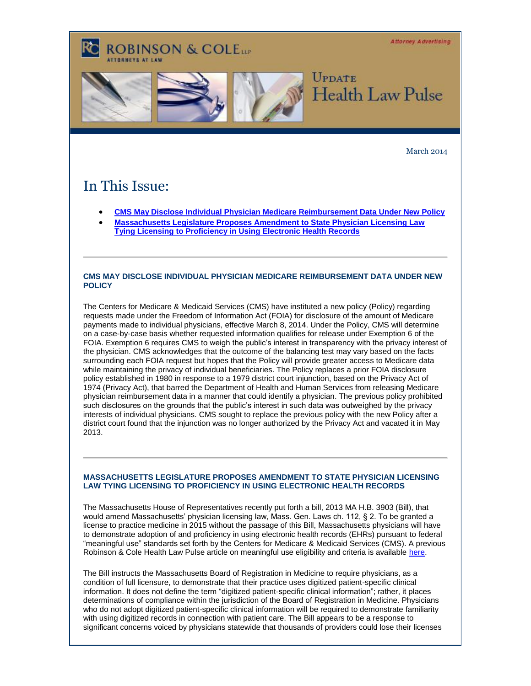**Attorney Advertising** 

## **ROBINSON & COLELLE**



March 2014

## In This Issue:

- **[CMS May Disclose Individual Physician Medicare Reimbursement Data Under New Policy](#page-0-0)**
- **[Massachusetts Legislature Proposes Amendment to State Physician Licensing Law](#page-0-1)  [Tying Licensing to Proficiency in Using Electronic Health Records](#page-0-1)**

## <span id="page-0-0"></span>**CMS MAY DISCLOSE INDIVIDUAL PHYSICIAN MEDICARE REIMBURSEMENT DATA UNDER NEW POLICY**

The Centers for Medicare & Medicaid Services (CMS) have instituted a new policy (Policy) regarding requests made under the Freedom of Information Act (FOIA) for disclosure of the amount of Medicare payments made to individual physicians, effective March 8, 2014. Under the Policy, CMS will determine on a case-by-case basis whether requested information qualifies for release under Exemption 6 of the FOIA. Exemption 6 requires CMS to weigh the public's interest in transparency with the privacy interest of the physician. CMS acknowledges that the outcome of the balancing test may vary based on the facts surrounding each FOIA request but hopes that the Policy will provide greater access to Medicare data while maintaining the privacy of individual beneficiaries. The Policy replaces a prior FOIA disclosure policy established in 1980 in response to a 1979 district court injunction, based on the Privacy Act of 1974 (Privacy Act), that barred the Department of Health and Human Services from releasing Medicare physician reimbursement data in a manner that could identify a physician. The previous policy prohibited such disclosures on the grounds that the public's interest in such data was outweighed by the privacy interests of individual physicians. CMS sought to replace the previous policy with the new Policy after a district court found that the injunction was no longer authorized by the Privacy Act and vacated it in May 2013.

## <span id="page-0-1"></span>**MASSACHUSETTS LEGISLATURE PROPOSES AMENDMENT TO STATE PHYSICIAN LICENSING LAW TYING LICENSING TO PROFICIENCY IN USING ELECTRONIC HEALTH RECORDS**

The Massachusetts House of Representatives recently put forth a bill, 2013 MA H.B. 3903 (Bill), that would amend Massachusetts' physician licensing law, Mass. Gen. Laws ch. 112, § 2. To be granted a license to practice medicine in 2015 without the passage of this Bill, Massachusetts physicians will have to demonstrate adoption of and proficiency in using electronic health records (EHRs) pursuant to federal "meaningful use" standards set forth by the Centers for Medicare & Medicaid Services (CMS). A previous Robinson & Cole Health Law Pulse article on meaningful use eligibility and criteria is availabl[e here.](http://t2806904.invoc.us/track.aspx?id=402|2AD478|6F10|19C|11B|0|163|1|6BDDC31E&useSmaid=t&useCid=t&destination=http%3a%2f%2fwww.rc.com%2fnewsletters%2fPublications%2f2106.pdf%3futm_source%3dVocus%26utm_medium%3demail%26utm_campaign%3dRobinson%2b%2526%2bCole%2bLLP%26utm_content%3dHealth%2bLaw%2bPulse%2b%2bMarch%2b2014&dchk=3008BA7C)

The Bill instructs the Massachusetts Board of Registration in Medicine to require physicians, as a condition of full licensure, to demonstrate that their practice uses digitized patient-specific clinical information. It does not define the term "digitized patient-specific clinical information"; rather, it places determinations of compliance within the jurisdiction of the Board of Registration in Medicine. Physicians who do not adopt digitized patient-specific clinical information will be required to demonstrate familiarity with using digitized records in connection with patient care. The Bill appears to be a response to significant concerns voiced by physicians statewide that thousands of providers could lose their licenses